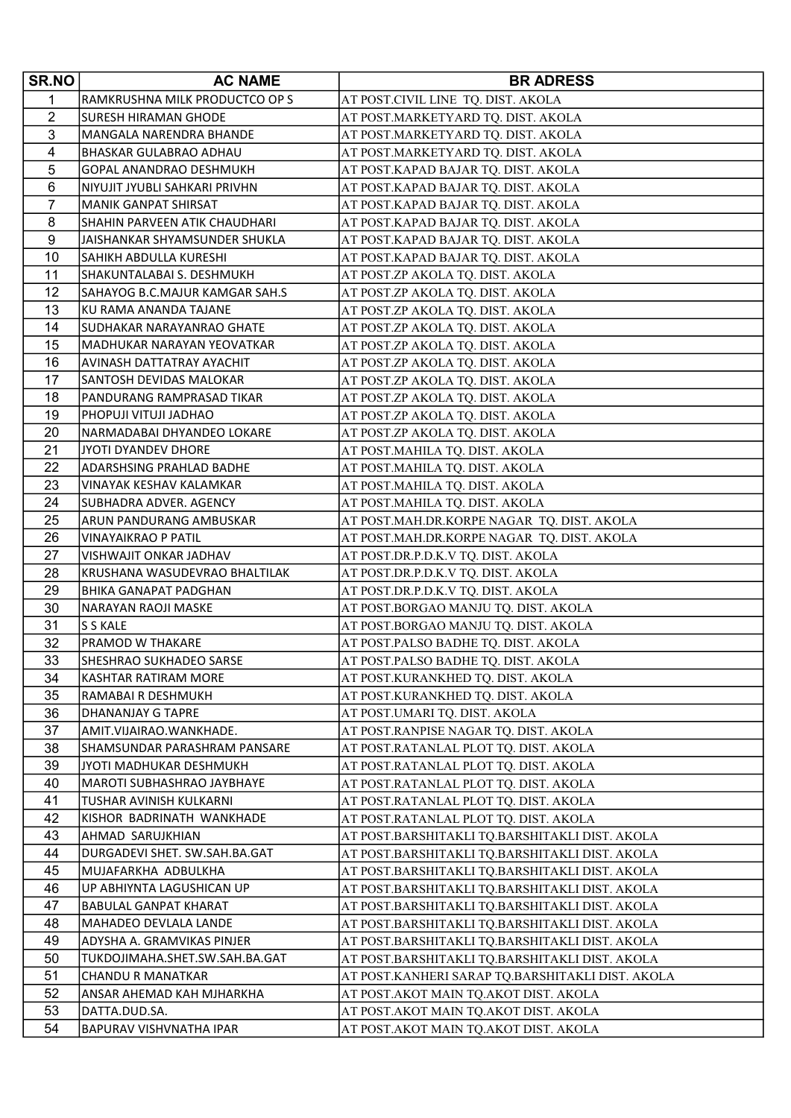| SR.NO          | <b>AC NAME</b>                                            | <b>BR ADRESS</b>                                                                                 |
|----------------|-----------------------------------------------------------|--------------------------------------------------------------------------------------------------|
| 1              | RAMKRUSHNA MILK PRODUCTCO OP S                            | AT POST.CIVIL LINE TQ. DIST. AKOLA                                                               |
| $\overline{2}$ | SURESH HIRAMAN GHODE                                      | AT POST.MARKETYARD TQ. DIST. AKOLA                                                               |
| 3              | MANGALA NARENDRA BHANDE                                   | AT POST.MARKETYARD TQ. DIST. AKOLA                                                               |
| 4              | <b>BHASKAR GULABRAO ADHAU</b>                             | AT POST.MARKETYARD TQ. DIST. AKOLA                                                               |
| 5              | GOPAL ANANDRAO DESHMUKH                                   | AT POST.KAPAD BAJAR TQ. DIST. AKOLA                                                              |
| 6              | NIYUJIT JYUBLI SAHKARI PRIVHN                             | AT POST.KAPAD BAJAR TQ. DIST. AKOLA                                                              |
| $\overline{7}$ | <b>MANIK GANPAT SHIRSAT</b>                               | AT POST.KAPAD BAJAR TQ. DIST. AKOLA                                                              |
| 8              | SHAHIN PARVEEN ATIK CHAUDHARI                             | AT POST.KAPAD BAJAR TQ. DIST. AKOLA                                                              |
| 9              | JAISHANKAR SHYAMSUNDER SHUKLA                             | AT POST.KAPAD BAJAR TQ. DIST. AKOLA                                                              |
| 10             | SAHIKH ABDULLA KURESHI                                    | AT POST.KAPAD BAJAR TQ. DIST. AKOLA                                                              |
| 11             | SHAKUNTALABAI S. DESHMUKH                                 | AT POST.ZP AKOLA TQ. DIST. AKOLA                                                                 |
| 12             | SAHAYOG B.C.MAJUR KAMGAR SAH.S                            | AT POST.ZP AKOLA TQ. DIST. AKOLA                                                                 |
| 13             | KU RAMA ANANDA TAJANE                                     | AT POST.ZP AKOLA TQ. DIST. AKOLA                                                                 |
| 14             | SUDHAKAR NARAYANRAO GHATE                                 | AT POST.ZP AKOLA TQ. DIST. AKOLA                                                                 |
| 15             | MADHUKAR NARAYAN YEOVATKAR                                | AT POST.ZP AKOLA TQ. DIST. AKOLA                                                                 |
| 16             | AVINASH DATTATRAY AYACHIT                                 | AT POST.ZP AKOLA TQ. DIST. AKOLA                                                                 |
| 17             | SANTOSH DEVIDAS MALOKAR                                   | AT POST.ZP AKOLA TQ. DIST. AKOLA                                                                 |
| 18             | PANDURANG RAMPRASAD TIKAR                                 | AT POST.ZP AKOLA TQ. DIST. AKOLA                                                                 |
| 19             | PHOPUJI VITUJI JADHAO                                     | AT POST.ZP AKOLA TQ. DIST. AKOLA                                                                 |
| 20             | NARMADABAI DHYANDEO LOKARE                                | AT POST.ZP AKOLA TQ. DIST. AKOLA                                                                 |
| 21             | JYOTI DYANDEV DHORE                                       | AT POST.MAHILA TQ. DIST. AKOLA                                                                   |
| 22             | ADARSHSING PRAHLAD BADHE                                  | AT POST.MAHILA TQ. DIST. AKOLA                                                                   |
| 23             | VINAYAK KESHAV KALAMKAR                                   | AT POST.MAHILA TQ. DIST. AKOLA                                                                   |
| 24             | SUBHADRA ADVER. AGENCY                                    | AT POST.MAHILA TQ. DIST. AKOLA                                                                   |
| 25             | ARUN PANDURANG AMBUSKAR                                   | AT POST.MAH.DR.KORPE NAGAR TQ. DIST. AKOLA                                                       |
| 26             | VINAYAIKRAO P PATIL                                       | AT POST.MAH.DR.KORPE NAGAR TQ. DIST. AKOLA                                                       |
| 27             | VISHWAJIT ONKAR JADHAV                                    | AT POST.DR.P.D.K.V TQ. DIST. AKOLA                                                               |
| 28             | KRUSHANA WASUDEVRAO BHALTILAK                             | AT POST.DR.P.D.K.V TQ. DIST. AKOLA                                                               |
| 29             | <b>BHIKA GANAPAT PADGHAN</b>                              | AT POST.DR.P.D.K.V TQ. DIST. AKOLA                                                               |
| 30             | NARAYAN RAOJI MASKE                                       | AT POST.BORGAO MANJU TQ. DIST. AKOLA                                                             |
| 31             | S S KALE                                                  | AT POST.BORGAO MANJU TQ. DIST. AKOLA                                                             |
| 32             | PRAMOD W THAKARE                                          | AT POST.PALSO BADHE TQ. DIST. AKOLA                                                              |
| 33             | SHESHRAO SUKHADEO SARSE                                   | AT POST.PALSO BADHE TQ. DIST. AKOLA                                                              |
| 34             | KASHTAR RATIRAM MORE                                      | AT POST.KURANKHED TQ. DIST. AKOLA                                                                |
| 35             | RAMABAI R DESHMUKH                                        | AT POST.KURANKHED TQ. DIST. AKOLA                                                                |
| 36             | DHANANJAY G TAPRE                                         | AT POST.UMARI TQ. DIST. AKOLA                                                                    |
| 37             | AMIT.VIJAIRAO.WANKHADE.                                   | AT POST.RANPISE NAGAR TQ. DIST. AKOLA                                                            |
| 38             | SHAMSUNDAR PARASHRAM PANSARE                              | AT POST.RATANLAL PLOT TQ. DIST. AKOLA                                                            |
| 39             | JYOTI MADHUKAR DESHMUKH                                   | AT POST.RATANLAL PLOT TQ. DIST. AKOLA                                                            |
| 40             | MAROTI SUBHASHRAO JAYBHAYE                                | AT POST.RATANLAL PLOT TQ. DIST. AKOLA                                                            |
| 41             | TUSHAR AVINISH KULKARNI                                   | AT POST.RATANLAL PLOT TQ. DIST. AKOLA                                                            |
| 42             | KISHOR BADRINATH WANKHADE                                 | AT POST.RATANLAL PLOT TQ. DIST. AKOLA                                                            |
| 43             | AHMAD SARUJKHIAN                                          | AT POST.BARSHITAKLI TQ.BARSHITAKLI DIST. AKOLA                                                   |
| 44<br>45       | DURGADEVI SHET. SW.SAH.BA.GAT<br>MUJAFARKHA ADBULKHA      | AT POST.BARSHITAKLI TQ.BARSHITAKLI DIST. AKOLA                                                   |
| 46             |                                                           | AT POST.BARSHITAKLI TQ.BARSHITAKLI DIST. AKOLA                                                   |
| 47             | UP ABHIYNTA LAGUSHICAN UP<br><b>BABULAL GANPAT KHARAT</b> | AT POST.BARSHITAKLI TQ.BARSHITAKLI DIST. AKOLA<br>AT POST.BARSHITAKLI TQ.BARSHITAKLI DIST. AKOLA |
| 48             |                                                           |                                                                                                  |
| 49             | MAHADEO DEVLALA LANDE<br>ADYSHA A. GRAMVIKAS PINJER       | AT POST.BARSHITAKLI TQ.BARSHITAKLI DIST. AKOLA                                                   |
| 50             | TUKDOJIMAHA.SHET.SW.SAH.BA.GAT                            | AT POST.BARSHITAKLI TQ.BARSHITAKLI DIST. AKOLA<br>AT POST.BARSHITAKLI TQ.BARSHITAKLI DIST. AKOLA |
| 51             | <b>CHANDU R MANATKAR</b>                                  | AT POST.KANHERI SARAP TQ.BARSHITAKLI DIST. AKOLA                                                 |
| 52             | ANSAR AHEMAD KAH MJHARKHA                                 | AT POST.AKOT MAIN TQ.AKOT DIST. AKOLA                                                            |
| 53             | DATTA.DUD.SA.                                             | AT POST.AKOT MAIN TQ.AKOT DIST. AKOLA                                                            |
| 54             | <b>BAPURAV VISHVNATHA IPAR</b>                            | AT POST.AKOT MAIN TQ.AKOT DIST. AKOLA                                                            |
|                |                                                           |                                                                                                  |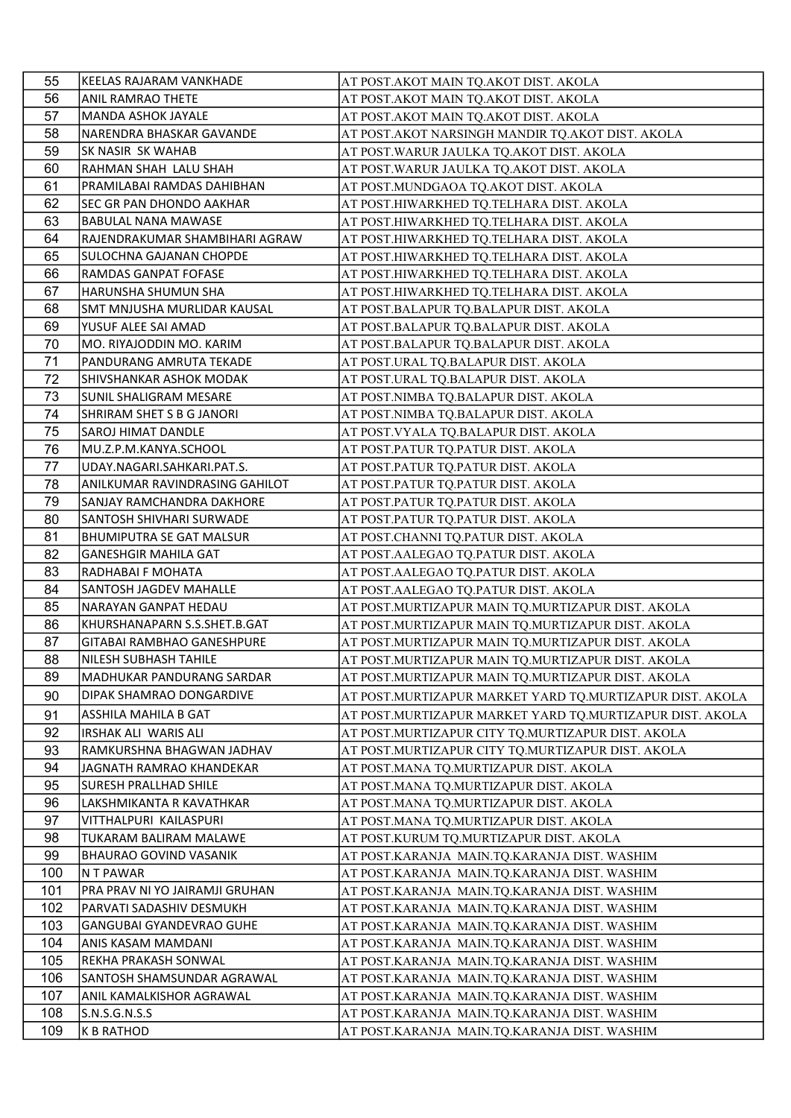| 55  | KEELAS RAJARAM VANKHADE         | AT POST.AKOT MAIN TQ.AKOT DIST. AKOLA                    |
|-----|---------------------------------|----------------------------------------------------------|
| 56  | ANIL RAMRAO THETE               | AT POST.AKOT MAIN TQ.AKOT DIST. AKOLA                    |
| 57  | MANDA ASHOK JAYALE              | AT POST.AKOT MAIN TQ.AKOT DIST. AKOLA                    |
| 58  | NARENDRA BHASKAR GAVANDE        | AT POST.AKOT NARSINGH MANDIR TQ.AKOT DIST. AKOLA         |
| 59  | SK NASIR SK WAHAB               | AT POST. WARUR JAULKA TQ. AKOT DIST. AKOLA               |
| 60  | RAHMAN SHAH LALU SHAH           | AT POST. WARUR JAULKA TQ. AKOT DIST. AKOLA               |
| 61  | PRAMILABAI RAMDAS DAHIBHAN      | AT POST.MUNDGAOA TQ.AKOT DIST. AKOLA                     |
| 62  | SEC GR PAN DHONDO AAKHAR        | AT POST.HIWARKHED TQ.TELHARA DIST. AKOLA                 |
| 63  | <b>BABULAL NANA MAWASE</b>      | AT POST.HIWARKHED TQ.TELHARA DIST. AKOLA                 |
| 64  | RAJENDRAKUMAR SHAMBIHARI AGRAW  | AT POST.HIWARKHED TQ.TELHARA DIST. AKOLA                 |
| 65  | SULOCHNA GAJANAN CHOPDE         | AT POST.HIWARKHED TQ.TELHARA DIST. AKOLA                 |
| 66  | RAMDAS GANPAT FOFASE            | AT POST.HIWARKHED TQ.TELHARA DIST. AKOLA                 |
| 67  | HARUNSHA SHUMUN SHA             | AT POST.HIWARKHED TQ.TELHARA DIST. AKOLA                 |
| 68  | SMT MNJUSHA MURLIDAR KAUSAL     | AT POST.BALAPUR TQ.BALAPUR DIST. AKOLA                   |
| 69  | YUSUF ALEE SAI AMAD             | AT POST.BALAPUR TQ.BALAPUR DIST. AKOLA                   |
| 70  | MO. RIYAJODDIN MO. KARIM        | AT POST.BALAPUR TQ.BALAPUR DIST. AKOLA                   |
| 71  | PANDURANG AMRUTA TEKADE         | AT POST.URAL TQ.BALAPUR DIST. AKOLA                      |
| 72  | SHIVSHANKAR ASHOK MODAK         | AT POST.URAL TQ.BALAPUR DIST. AKOLA                      |
| 73  | SUNIL SHALIGRAM MESARE          | AT POST.NIMBA TQ.BALAPUR DIST. AKOLA                     |
| 74  | SHRIRAM SHET S B G JANORI       | AT POST.NIMBA TQ.BALAPUR DIST. AKOLA                     |
| 75  | SAROJ HIMAT DANDLE              | AT POST.VYALA TQ.BALAPUR DIST. AKOLA                     |
| 76  | MU.Z.P.M.KANYA.SCHOOL           | AT POST.PATUR TQ.PATUR DIST. AKOLA                       |
| 77  | UDAY.NAGARI.SAHKARI.PAT.S.      | AT POST.PATUR TQ.PATUR DIST. AKOLA                       |
| 78  | ANILKUMAR RAVINDRASING GAHILOT  | AT POST.PATUR TQ.PATUR DIST. AKOLA                       |
| 79  | SANJAY RAMCHANDRA DAKHORE       | AT POST.PATUR TQ.PATUR DIST. AKOLA                       |
| 80  | SANTOSH SHIVHARI SURWADE        | AT POST.PATUR TQ.PATUR DIST. AKOLA                       |
| 81  | <b>BHUMIPUTRA SE GAT MALSUR</b> | AT POST.CHANNI TQ.PATUR DIST. AKOLA                      |
| 82  | <b>GANESHGIR MAHILA GAT</b>     | AT POST.AALEGAO TQ.PATUR DIST. AKOLA                     |
| 83  | RADHABAI F MOHATA               | AT POST.AALEGAO TQ.PATUR DIST. AKOLA                     |
| 84  | SANTOSH JAGDEV MAHALLE          | AT POST.AALEGAO TQ.PATUR DIST. AKOLA                     |
| 85  | NARAYAN GANPAT HEDAU            | AT POST.MURTIZAPUR MAIN TQ.MURTIZAPUR DIST. AKOLA        |
| 86  | KHURSHANAPARN S.S.SHET.B.GAT    | AT POST.MURTIZAPUR MAIN TQ.MURTIZAPUR DIST. AKOLA        |
| 87  | GITABAI RAMBHAO GANESHPURE      | AT POST.MURTIZAPUR MAIN TQ.MURTIZAPUR DIST. AKOLA        |
| 88  | <b>NILESH SUBHASH TAHILE</b>    | AT POST.MURTIZAPUR MAIN TQ.MURTIZAPUR DIST. AKOLA        |
| 89  | MADHUKAR PANDURANG SARDAR       | AT POST.MURTIZAPUR MAIN TQ.MURTIZAPUR DIST. AKOLA        |
| 90  | DIPAK SHAMRAO DONGARDIVE        | AT POST.MURTIZAPUR MARKET YARD TO.MURTIZAPUR DIST. AKOLA |
| 91  | IASSHILA MAHILA B GAT           | AT POST.MURTIZAPUR MARKET YARD TQ.MURTIZAPUR DIST. AKOLA |
| 92  | IRSHAK ALI WARIS ALI            | AT POST.MURTIZAPUR CITY TQ.MURTIZAPUR DIST. AKOLA        |
| 93  | RAMKURSHNA BHAGWAN JADHAV       | AT POST.MURTIZAPUR CITY TQ.MURTIZAPUR DIST. AKOLA        |
| 94  | JAGNATH RAMRAO KHANDEKAR        | AT POST.MANA TQ.MURTIZAPUR DIST. AKOLA                   |
| 95  | <b>SURESH PRALLHAD SHILE</b>    | AT POST.MANA TQ.MURTIZAPUR DIST. AKOLA                   |
| 96  | LAKSHMIKANTA R KAVATHKAR        | AT POST.MANA TQ.MURTIZAPUR DIST. AKOLA                   |
| 97  | VITTHALPURI KAILASPURI          | AT POST.MANA TQ.MURTIZAPUR DIST. AKOLA                   |
| 98  | TUKARAM BALIRAM MALAWE          | AT POST.KURUM TQ.MURTIZAPUR DIST. AKOLA                  |
| 99  | <b>BHAURAO GOVIND VASANIK</b>   | AT POST.KARANJA MAIN.TQ.KARANJA DIST. WASHIM             |
| 100 | N T PAWAR                       | AT POST.KARANJA MAIN.TQ.KARANJA DIST. WASHIM             |
| 101 | PRA PRAV NI YO JAIRAMJI GRUHAN  | AT POST.KARANJA MAIN.TQ.KARANJA DIST. WASHIM             |
| 102 | PARVATI SADASHIV DESMUKH        | AT POST.KARANJA  MAIN.TQ.KARANJA DIST. WASHIM            |
| 103 | <b>GANGUBAI GYANDEVRAO GUHE</b> | AT POST.KARANJA MAIN.TQ.KARANJA DIST. WASHIM             |
| 104 | ANIS KASAM MAMDANI              | AT POST.KARANJA  MAIN.TQ.KARANJA DIST. WASHIM            |
| 105 | REKHA PRAKASH SONWAL            | AT POST.KARANJA MAIN.TQ.KARANJA DIST. WASHIM             |
| 106 | SANTOSH SHAMSUNDAR AGRAWAL      | AT POST.KARANJA  MAIN.TQ.KARANJA DIST. WASHIM            |
| 107 | ANIL KAMALKISHOR AGRAWAL        | AT POST.KARANJA  MAIN.TQ.KARANJA DIST. WASHIM            |
| 108 | S.N.S.G.N.S.S                   | AT POST.KARANJA MAIN.TQ.KARANJA DIST. WASHIM             |
| 109 | K B RATHOD                      |                                                          |
|     |                                 | AT POST.KARANJA  MAIN.TQ.KARANJA DIST. WASHIM            |